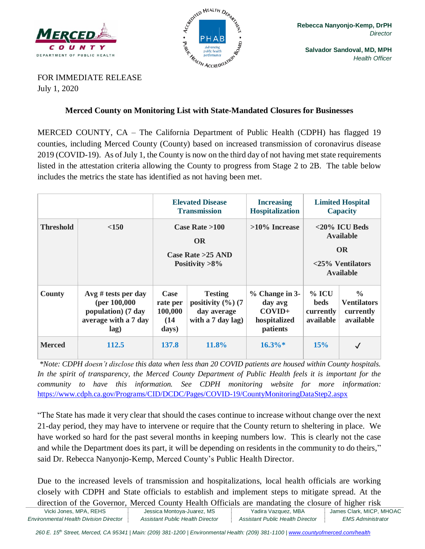



**Salvador Sandoval, MD, MPH** *Health Officer*

FOR IMMEDIATE RELEASE July 1, 2020

## **Merced County on Monitoring List with State-Mandated Closures for Businesses**

MERCED COUNTY, CA – The California Department of Public Health (CDPH) has flagged 19 counties, including Merced County (County) based on increased transmission of coronavirus disease 2019 (COVID-19). As of July 1, the County is now on the third day of not having met state requirements listed in the attestation criteria allowing the County to progress from Stage 2 to 2B. The table below includes the metrics the state has identified as not having been met.

|                  |                                                                                                | <b>Elevated Disease</b><br><b>Transmission</b>                            |                                                                              | <b>Increasing</b><br><b>Hospitalization</b>                         | <b>Limited Hospital</b><br><b>Capacity</b>                                                          |                                                               |
|------------------|------------------------------------------------------------------------------------------------|---------------------------------------------------------------------------|------------------------------------------------------------------------------|---------------------------------------------------------------------|-----------------------------------------------------------------------------------------------------|---------------------------------------------------------------|
| <b>Threshold</b> | < 150                                                                                          | Case Rate $>100$<br><b>OR</b><br>Case Rate $>25$ AND<br>Positivity $>8\%$ |                                                                              | $>10\%$ Increase                                                    | $<$ 20% ICU Beds<br><b>Available</b><br><b>OR</b><br>$\langle 25\%$ Ventilators<br><b>Available</b> |                                                               |
| County           | $Avg \# tests per day$<br>(per $100,000$<br>population) (7 day<br>average with a 7 day<br>lag) | <b>Case</b><br>rate per<br>100,000<br>(14)<br>days)                       | <b>Testing</b><br>positivity $(\%)(7)$<br>day average<br>with a $7$ day lag) | $%$ Change in 3-<br>day avg<br>$COVID+$<br>hospitalized<br>patients | $%$ ICU<br><b>beds</b><br>currently<br>available                                                    | $\frac{0}{0}$<br><b>Ventilators</b><br>currently<br>available |
| <b>Merced</b>    | 112.5                                                                                          | 137.8                                                                     | 11.8%                                                                        | $16.3\%*$                                                           | 15%                                                                                                 | $\checkmark$                                                  |

*\*Note: CDPH doesn't disclose this data when less than 20 COVID patients are housed within County hospitals. In the spirit of transparency, the Merced County Department of Public Health feels it is important for the community to have this information. See CDPH monitoring website for more information:*  <https://www.cdph.ca.gov/Programs/CID/DCDC/Pages/COVID-19/CountyMonitoringDataStep2.aspx>

"The State has made it very clear that should the cases continue to increase without change over the next 21-day period, they may have to intervene or require that the County return to sheltering in place. We have worked so hard for the past several months in keeping numbers low. This is clearly not the case and while the Department does its part, it will be depending on residents in the community to do theirs," said Dr. Rebecca Nanyonjo-Kemp, Merced County's Public Health Director.

Due to the increased levels of transmission and hospitalizations, local health officials are working closely with CDPH and State officials to establish and implement steps to mitigate spread. At the direction of the Governor, Merced County Health Officials are mandating the closure of higher risk